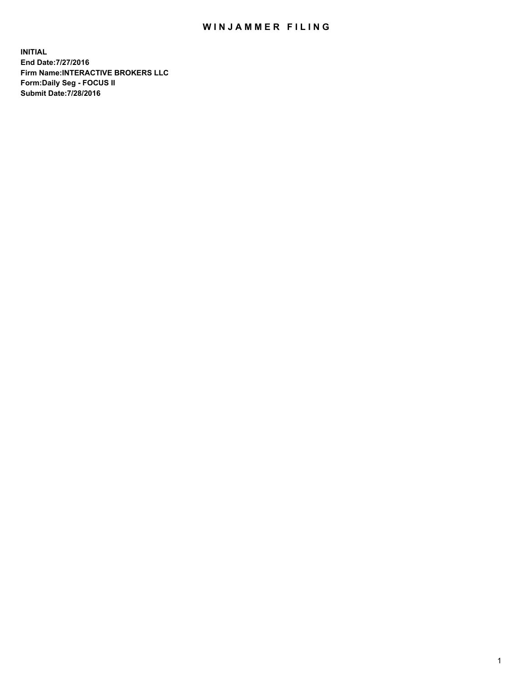## WIN JAMMER FILING

**INITIAL End Date:7/27/2016 Firm Name:INTERACTIVE BROKERS LLC Form:Daily Seg - FOCUS II Submit Date:7/28/2016**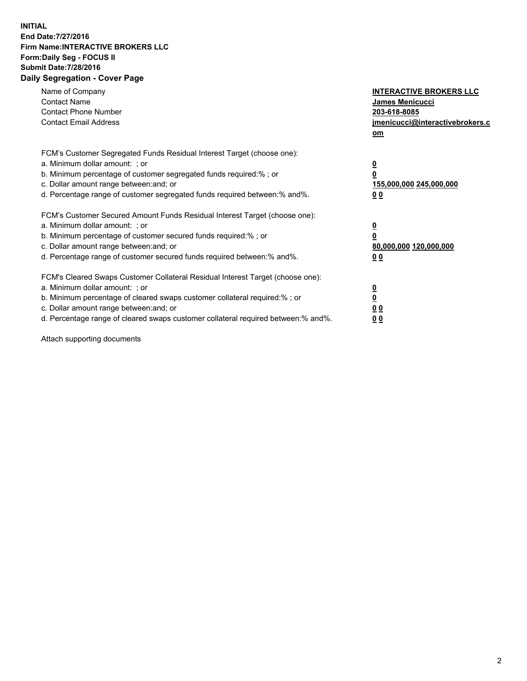## **INITIAL End Date:7/27/2016 Firm Name:INTERACTIVE BROKERS LLC Form:Daily Seg - FOCUS II Submit Date:7/28/2016 Daily Segregation - Cover Page**

| Name of Company<br><b>Contact Name</b><br><b>Contact Phone Number</b><br><b>Contact Email Address</b>                                                                                                                                                                                                                          | <b>INTERACTIVE BROKERS LLC</b><br><b>James Menicucci</b><br>203-618-8085<br>jmenicucci@interactivebrokers.c<br>om |
|--------------------------------------------------------------------------------------------------------------------------------------------------------------------------------------------------------------------------------------------------------------------------------------------------------------------------------|-------------------------------------------------------------------------------------------------------------------|
| FCM's Customer Segregated Funds Residual Interest Target (choose one):<br>a. Minimum dollar amount: ; or<br>b. Minimum percentage of customer segregated funds required:%; or<br>c. Dollar amount range between: and; or<br>d. Percentage range of customer segregated funds required between:% and%.                          | $\overline{\mathbf{0}}$<br>0<br>155,000,000 245,000,000<br>0 <sub>0</sub>                                         |
| FCM's Customer Secured Amount Funds Residual Interest Target (choose one):<br>a. Minimum dollar amount: ; or<br>b. Minimum percentage of customer secured funds required:%; or<br>c. Dollar amount range between: and; or<br>d. Percentage range of customer secured funds required between: % and %.                          | $\overline{\mathbf{0}}$<br>0<br>80,000,000 120,000,000<br>0 <sub>0</sub>                                          |
| FCM's Cleared Swaps Customer Collateral Residual Interest Target (choose one):<br>a. Minimum dollar amount: ; or<br>b. Minimum percentage of cleared swaps customer collateral required:% ; or<br>c. Dollar amount range between: and; or<br>d. Percentage range of cleared swaps customer collateral required between:% and%. | $\overline{\mathbf{0}}$<br>$\overline{\mathbf{0}}$<br>0 <sub>0</sub><br><u>00</u>                                 |

Attach supporting documents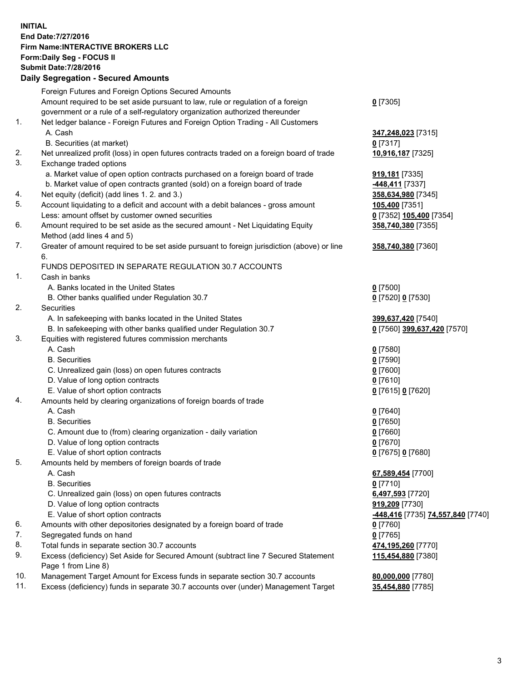## **INITIAL End Date:7/27/2016 Firm Name:INTERACTIVE BROKERS LLC Form:Daily Seg - FOCUS II Submit Date:7/28/2016 Daily Segregation - Secured Amounts**

|     | $-$ 0.000 0.000 0.000 0.000 0.000 0.000 0.000 0.000 0.000 0.000 0.000 0.000 0.000 0.000 0.000 0.000 0.000 0.000 0.000 0.000 0.000 0.000 0.000 0.000 0.000 0.000 0.000 0.000 0.000 0.000 0.000 0.000 0.000 0.000 0.000 0.000 0 |                                                 |
|-----|-------------------------------------------------------------------------------------------------------------------------------------------------------------------------------------------------------------------------------|-------------------------------------------------|
|     | Foreign Futures and Foreign Options Secured Amounts                                                                                                                                                                           |                                                 |
|     | Amount required to be set aside pursuant to law, rule or regulation of a foreign                                                                                                                                              | $0$ [7305]                                      |
|     | government or a rule of a self-regulatory organization authorized thereunder                                                                                                                                                  |                                                 |
| 1.  | Net ledger balance - Foreign Futures and Foreign Option Trading - All Customers                                                                                                                                               |                                                 |
|     | A. Cash                                                                                                                                                                                                                       | 347,248,023 [7315]                              |
|     | B. Securities (at market)                                                                                                                                                                                                     | $0$ [7317]                                      |
| 2.  | Net unrealized profit (loss) in open futures contracts traded on a foreign board of trade                                                                                                                                     | 10,916,187 [7325]                               |
| 3.  | Exchange traded options                                                                                                                                                                                                       |                                                 |
|     | a. Market value of open option contracts purchased on a foreign board of trade                                                                                                                                                | 919,181 [7335]                                  |
|     | b. Market value of open contracts granted (sold) on a foreign board of trade                                                                                                                                                  | -448,411 [7337]                                 |
| 4.  | Net equity (deficit) (add lines 1. 2. and 3.)                                                                                                                                                                                 | 358,634,980 [7345]                              |
| 5.  | Account liquidating to a deficit and account with a debit balances - gross amount                                                                                                                                             |                                                 |
|     |                                                                                                                                                                                                                               | 105,400 [7351]                                  |
|     | Less: amount offset by customer owned securities                                                                                                                                                                              | 0 [7352] 105,400 [7354]                         |
| 6.  | Amount required to be set aside as the secured amount - Net Liquidating Equity                                                                                                                                                | 358,740,380 [7355]                              |
|     | Method (add lines 4 and 5)                                                                                                                                                                                                    |                                                 |
| 7.  | Greater of amount required to be set aside pursuant to foreign jurisdiction (above) or line                                                                                                                                   | 358,740,380 [7360]                              |
|     | 6.                                                                                                                                                                                                                            |                                                 |
|     | FUNDS DEPOSITED IN SEPARATE REGULATION 30.7 ACCOUNTS                                                                                                                                                                          |                                                 |
| 1.  | Cash in banks                                                                                                                                                                                                                 |                                                 |
|     | A. Banks located in the United States                                                                                                                                                                                         | $0$ [7500]                                      |
|     | B. Other banks qualified under Regulation 30.7                                                                                                                                                                                | 0 [7520] 0 [7530]                               |
| 2.  | <b>Securities</b>                                                                                                                                                                                                             |                                                 |
|     | A. In safekeeping with banks located in the United States                                                                                                                                                                     | 399,637,420 [7540]                              |
|     | B. In safekeeping with other banks qualified under Regulation 30.7                                                                                                                                                            | 0 [7560] 399,637,420 [7570]                     |
| 3.  | Equities with registered futures commission merchants                                                                                                                                                                         |                                                 |
|     | A. Cash                                                                                                                                                                                                                       | $0$ [7580]                                      |
|     | <b>B.</b> Securities                                                                                                                                                                                                          | $0$ [7590]                                      |
|     | C. Unrealized gain (loss) on open futures contracts                                                                                                                                                                           | $0$ [7600]                                      |
|     | D. Value of long option contracts                                                                                                                                                                                             | $0$ [7610]                                      |
|     | E. Value of short option contracts                                                                                                                                                                                            | 0 [7615] 0 [7620]                               |
| 4.  | Amounts held by clearing organizations of foreign boards of trade                                                                                                                                                             |                                                 |
|     | A. Cash                                                                                                                                                                                                                       | $0$ [7640]                                      |
|     | <b>B.</b> Securities                                                                                                                                                                                                          | $0$ [7650]                                      |
|     | C. Amount due to (from) clearing organization - daily variation                                                                                                                                                               | $0$ [7660]                                      |
|     | D. Value of long option contracts                                                                                                                                                                                             | $0$ [7670]                                      |
|     | E. Value of short option contracts                                                                                                                                                                                            | 0 [7675] 0 [7680]                               |
| 5.  | Amounts held by members of foreign boards of trade                                                                                                                                                                            |                                                 |
|     | A. Cash                                                                                                                                                                                                                       | 67,589,454 [7700]                               |
|     | <b>B.</b> Securities                                                                                                                                                                                                          | $0$ [7710]                                      |
|     | C. Unrealized gain (loss) on open futures contracts                                                                                                                                                                           | 6,497,593 [7720]                                |
|     | D. Value of long option contracts                                                                                                                                                                                             | 919,209 [7730]                                  |
|     | E. Value of short option contracts                                                                                                                                                                                            | <u>-448,416</u> [7735] <u>74,557,840</u> [7740] |
| 6.  | Amounts with other depositories designated by a foreign board of trade                                                                                                                                                        | $0$ [7760]                                      |
| 7.  | Segregated funds on hand                                                                                                                                                                                                      | $0$ [7765]                                      |
| 8.  | Total funds in separate section 30.7 accounts                                                                                                                                                                                 | 474,195,260 [7770]                              |
| 9.  | Excess (deficiency) Set Aside for Secured Amount (subtract line 7 Secured Statement                                                                                                                                           | 115,454,880 [7380]                              |
|     | Page 1 from Line 8)                                                                                                                                                                                                           |                                                 |
| 10. | Management Target Amount for Excess funds in separate section 30.7 accounts                                                                                                                                                   | 80,000,000 [7780]                               |
| 11. | Excess (deficiency) funds in separate 30.7 accounts over (under) Management Target                                                                                                                                            | 35,454,880 [7785]                               |
|     |                                                                                                                                                                                                                               |                                                 |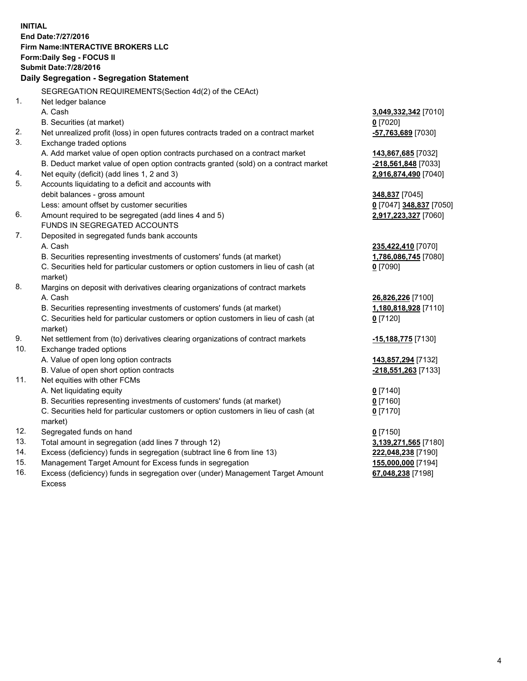**INITIAL End Date:7/27/2016 Firm Name:INTERACTIVE BROKERS LLC Form:Daily Seg - FOCUS II Submit Date:7/28/2016 Daily Segregation - Segregation Statement** SEGREGATION REQUIREMENTS(Section 4d(2) of the CEAct) 1. Net ledger balance A. Cash **3,049,332,342** [7010] B. Securities (at market) **0** [7020] 2. Net unrealized profit (loss) in open futures contracts traded on a contract market **-57,763,689** [7030] 3. Exchange traded options A. Add market value of open option contracts purchased on a contract market **143,867,685** [7032] B. Deduct market value of open option contracts granted (sold) on a contract market **-218,561,848** [7033] 4. Net equity (deficit) (add lines 1, 2 and 3) **2,916,874,490** [7040] 5. Accounts liquidating to a deficit and accounts with debit balances - gross amount **348,837** [7045] Less: amount offset by customer securities **0** [7047] **348,837** [7050] 6. Amount required to be segregated (add lines 4 and 5) **2,917,223,327** [7060] FUNDS IN SEGREGATED ACCOUNTS 7. Deposited in segregated funds bank accounts A. Cash **235,422,410** [7070] B. Securities representing investments of customers' funds (at market) **1,786,086,745** [7080] C. Securities held for particular customers or option customers in lieu of cash (at market) **0** [7090] 8. Margins on deposit with derivatives clearing organizations of contract markets A. Cash **26,826,226** [7100] B. Securities representing investments of customers' funds (at market) **1,180,818,928** [7110] C. Securities held for particular customers or option customers in lieu of cash (at market) **0** [7120] 9. Net settlement from (to) derivatives clearing organizations of contract markets **-15,188,775** [7130] 10. Exchange traded options A. Value of open long option contracts **143,857,294** [7132] B. Value of open short option contracts **-218,551,263** [7133] 11. Net equities with other FCMs A. Net liquidating equity **0** [7140] B. Securities representing investments of customers' funds (at market) **0** [7160] C. Securities held for particular customers or option customers in lieu of cash (at market) **0** [7170] 12. Segregated funds on hand **0** [7150] 13. Total amount in segregation (add lines 7 through 12) **3,139,271,565** [7180] 14. Excess (deficiency) funds in segregation (subtract line 6 from line 13) **222,048,238** [7190] 15. Management Target Amount for Excess funds in segregation **155,000,000** [7194] 16. Excess (deficiency) funds in segregation over (under) Management Target Amount **67,048,238** [7198]

Excess